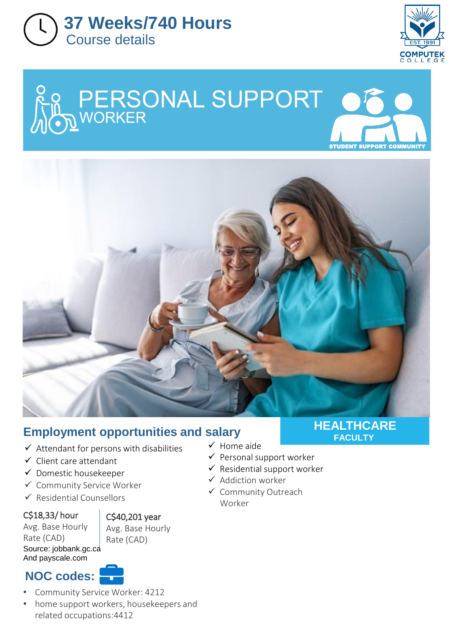



STUDENT SUPPORT COMMUNITY

## Re PERSONAL SUPPORT OF



#### **Employment opportunities and salary**

- $\checkmark$  Attendant for persons with disabilities
- $\checkmark$  Client care attendant
- Domestic housekeeper
- Community Service Worker
- $\checkmark$  Residential Counsellors

#### C\$18,33/ hour

Avg. Base Hourly Rate (CAD) Source: jobbank.gc.ca And payscale.com

C\$40,201 year Avg. Base Hourly

Rate (CAD)

#### **NOC codes:**

- Community Service Worker: 4212
- home support workers, housekeepers and related occupations:4412

#### **HEALTHCARE FACULTY**

- $\checkmark$  Home aide
- $\checkmark$  Personal support worker
- $\checkmark$  Residential support worker
- $\checkmark$  Addiction worker
- Community Outreach Worker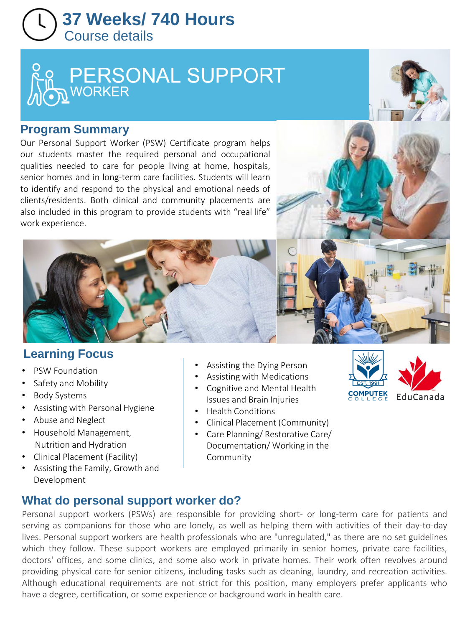### **37 Weeks/ 740 Hours**  Course details

# PERSONAL SUPPORT



#### **Program Summary**

Our Personal Support Worker (PSW) Certificate program helps our students master the required personal and occupational qualities needed to care for people living at home, hospitals, senior homes and in long-term care facilities. Students will learn to identify and respond to the physical and emotional needs of clients/residents. Both clinical and community placements are also included in this program to provide students with "real life" work experience.





- PSW Foundation
- Safety and Mobility
- Body Systems
- Assisting with Personal Hygiene
- Abuse and Neglect
- Household Management, Nutrition and Hydration
- Clinical Placement (Facility)
- Assisting the Family, Growth and Development
- Assisting the Dying Person
- Assisting with Medications
- Cognitive and Mental Health Issues and Brain Injuries
- Health Conditions
- Clinical Placement (Community)
- Care Planning/ Restorative Care/ Documentation/ Working in the Community



#### **What do personal support worker do?**

Personal support workers (PSWs) are responsible for providing short- or long-term care for patients and serving as companions for those who are lonely, as well as helping them with activities of their day-to-day lives. Personal support workers are health professionals who are "unregulated," as there are no set guidelines which they follow. These support workers are employed primarily in senior homes, private care facilities, doctors' offices, and some clinics, and some also work in private homes. Their work often revolves around providing physical care for senior citizens, including tasks such as cleaning, laundry, and recreation activities. Although educational requirements are not strict for this position, many employers prefer applicants who have a degree, certification, or some experience or background work in health care.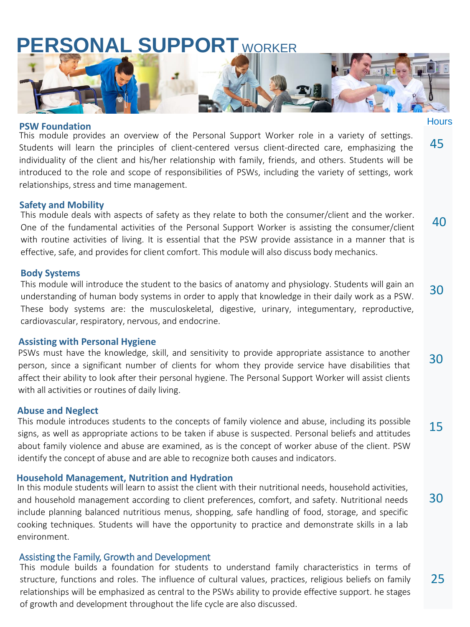## **PERSONAL SUPPORT** WORKER



#### **PSW Foundation**

This module provides an overview of the Personal Support Worker role in a variety of settings. Students will learn the principles of client-centered versus client-directed care, emphasizing the individuality of the client and his/her relationship with family, friends, and others. Students will be introduced to the role and scope of responsibilities of PSWs, including the variety of settings, work relationships, stress and time management.

#### **Safety and Mobility**

This module deals with aspects of safety as they relate to both the consumer/client and the worker. One of the fundamental activities of the Personal Support Worker is assisting the consumer/client with routine activities of living. It is essential that the PSW provide assistance in a manner that is effective, safe, and provides for client comfort. This module will also discuss body mechanics.

#### **Body Systems**

This module will introduce the student to the basics of anatomy and physiology. Students will gain an understanding of human body systems in order to apply that knowledge in their daily work as a PSW. These body systems are: the musculoskeletal, digestive, urinary, integumentary, reproductive, cardiovascular, respiratory, nervous, and endocrine. 30

#### **Assisting with Personal Hygiene**

PSWs must have the knowledge, skill, and sensitivity to provide appropriate assistance to another person, since a significant number of clients for whom they provide service have disabilities that affect their ability to look after their personal hygiene. The Personal Support Worker will assist clients with all activities or routines of daily living. 30

#### **Abuse and Neglect**

This module introduces students to the concepts of family violence and abuse, including its possible signs, as well as appropriate actions to be taken if abuse is suspected. Personal beliefs and attitudes about family violence and abuse are examined, as is the concept of worker abuse of the client. PSW identify the concept of abuse and are able to recognize both causes and indicators. 15

#### **Household Management, Nutrition and Hydration**

In this module students will learn to assist the client with their nutritional needs, household activities, and household management according to client preferences, comfort, and safety. Nutritional needs include planning balanced nutritious menus, shopping, safe handling of food, storage, and specific cooking techniques. Students will have the opportunity to practice and demonstrate skills in a lab environment.

#### Assisting the Family, Growth and Development

This module builds a foundation for students to understand family characteristics in terms of structure, functions and roles. The influence of cultural values, practices, religious beliefs on family relationships will be emphasized as central to the PSWs ability to provide effective support. he stages of growth and development throughout the life cycle are also discussed.

**Hours** 

45

40

30

25